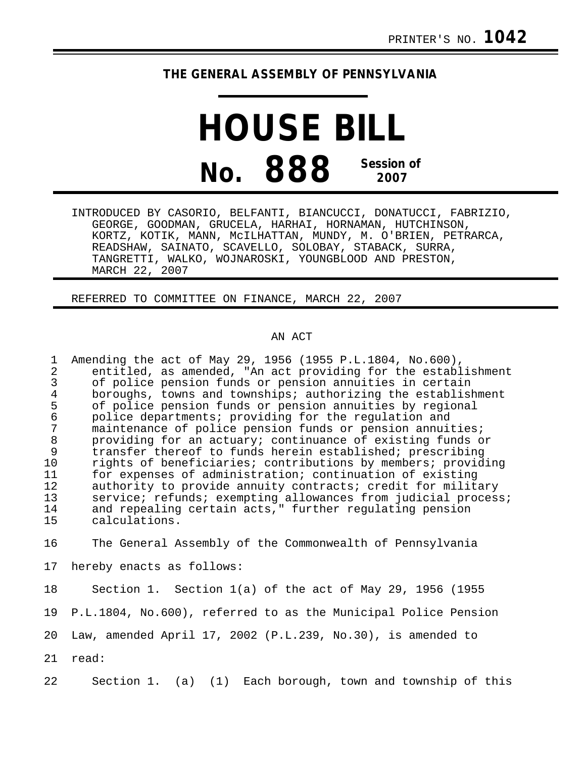## **THE GENERAL ASSEMBLY OF PENNSYLVANIA**

## **HOUSE BILL No. 888 Session of 2007**

INTRODUCED BY CASORIO, BELFANTI, BIANCUCCI, DONATUCCI, FABRIZIO, GEORGE, GOODMAN, GRUCELA, HARHAI, HORNAMAN, HUTCHINSON, KORTZ, KOTIK, MANN, McILHATTAN, MUNDY, M. O'BRIEN, PETRARCA, READSHAW, SAINATO, SCAVELLO, SOLOBAY, STABACK, SURRA, TANGRETTI, WALKO, WOJNAROSKI, YOUNGBLOOD AND PRESTON, MARCH 22, 2007

REFERRED TO COMMITTEE ON FINANCE, MARCH 22, 2007

## AN ACT

|    | Amending the act of May 29, 1956 (1955 P.L.1804, No.600),     |
|----|---------------------------------------------------------------|
|    | entitled, as amended, "An act providing for the establishment |
|    | of police pension funds or pension annuities in certain       |
|    | boroughs, towns and townships; authorizing the establishment  |
| 5  | of police pension funds or pension annuities by regional      |
| 6  | police departments; providing for the regulation and          |
|    | maintenance of police pension funds or pension annuities;     |
| 8  | providing for an actuary; continuance of existing funds or    |
| 9  | transfer thereof to funds herein established; prescribing     |
| 10 | rights of beneficiaries; contributions by members; providing  |
| 11 | for expenses of administration; continuation of existing      |
| 12 | authority to provide annuity contracts; credit for military   |
| 13 | service; refunds; exempting allowances from judicial process; |
| 14 | and repealing certain acts," further regulating pension       |
| 15 | calculations.                                                 |
|    |                                                               |

16 The General Assembly of the Commonwealth of Pennsylvania

17 hereby enacts as follows:

18 Section 1. Section 1(a) of the act of May 29, 1956 (1955 19 P.L.1804, No.600), referred to as the Municipal Police Pension 20 Law, amended April 17, 2002 (P.L.239, No.30), is amended to 21 read:

22 Section 1. (a) (1) Each borough, town and township of this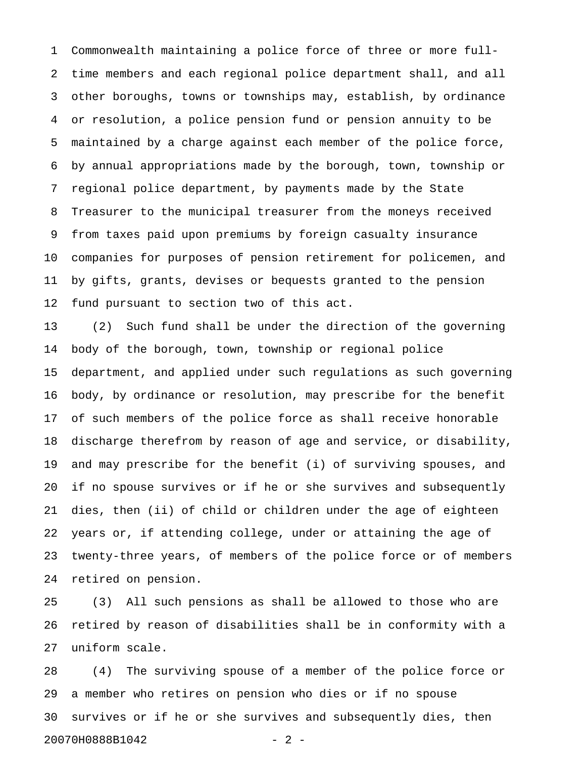1 Commonwealth maintaining a police force of three or more full-2 time members and each regional police department shall, and all 3 other boroughs, towns or townships may, establish, by ordinance 4 or resolution, a police pension fund or pension annuity to be 5 maintained by a charge against each member of the police force, 6 by annual appropriations made by the borough, town, township or 7 regional police department, by payments made by the State 8 Treasurer to the municipal treasurer from the moneys received 9 from taxes paid upon premiums by foreign casualty insurance 10 companies for purposes of pension retirement for policemen, and 11 by gifts, grants, devises or bequests granted to the pension 12 fund pursuant to section two of this act.

13 (2) Such fund shall be under the direction of the governing 14 body of the borough, town, township or regional police 15 department, and applied under such regulations as such governing 16 body, by ordinance or resolution, may prescribe for the benefit 17 of such members of the police force as shall receive honorable 18 discharge therefrom by reason of age and service, or disability, 19 and may prescribe for the benefit (i) of surviving spouses, and 20 if no spouse survives or if he or she survives and subsequently 21 dies, then (ii) of child or children under the age of eighteen 22 years or, if attending college, under or attaining the age of 23 twenty-three years, of members of the police force or of members 24 retired on pension.

25 (3) All such pensions as shall be allowed to those who are 26 retired by reason of disabilities shall be in conformity with a 27 uniform scale.

28 (4) The surviving spouse of a member of the police force or 29 a member who retires on pension who dies or if no spouse 30 survives or if he or she survives and subsequently dies, then 20070H0888B1042 - 2 -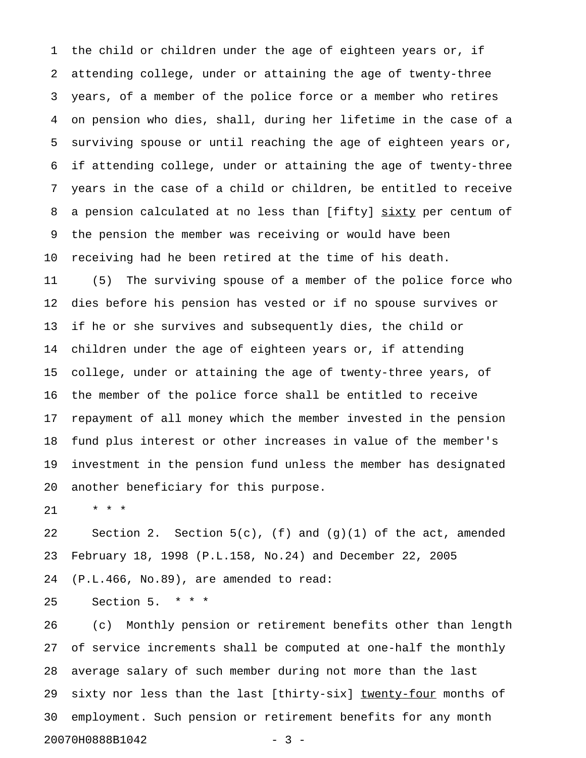1 the child or children under the age of eighteen years or, if 2 attending college, under or attaining the age of twenty-three 3 years, of a member of the police force or a member who retires 4 on pension who dies, shall, during her lifetime in the case of a 5 surviving spouse or until reaching the age of eighteen years or, 6 if attending college, under or attaining the age of twenty-three 7 years in the case of a child or children, be entitled to receive 8 a pension calculated at no less than [fifty] sixty per centum of 9 the pension the member was receiving or would have been 10 receiving had he been retired at the time of his death.

11 (5) The surviving spouse of a member of the police force who 12 dies before his pension has vested or if no spouse survives or 13 if he or she survives and subsequently dies, the child or 14 children under the age of eighteen years or, if attending 15 college, under or attaining the age of twenty-three years, of 16 the member of the police force shall be entitled to receive 17 repayment of all money which the member invested in the pension 18 fund plus interest or other increases in value of the member's 19 investment in the pension fund unless the member has designated 20 another beneficiary for this purpose.

21 \* \* \*

22 Section 2. Section  $5(c)$ ,  $(f)$  and  $(g)(1)$  of the act, amended 23 February 18, 1998 (P.L.158, No.24) and December 22, 2005 24 (P.L.466, No.89), are amended to read:

25 Section 5. \* \* \*

26 (c) Monthly pension or retirement benefits other than length 27 of service increments shall be computed at one-half the monthly 28 average salary of such member during not more than the last 29 sixty nor less than the last [thirty-six] twenty-four months of 30 employment. Such pension or retirement benefits for any month 20070H0888B1042 - 3 -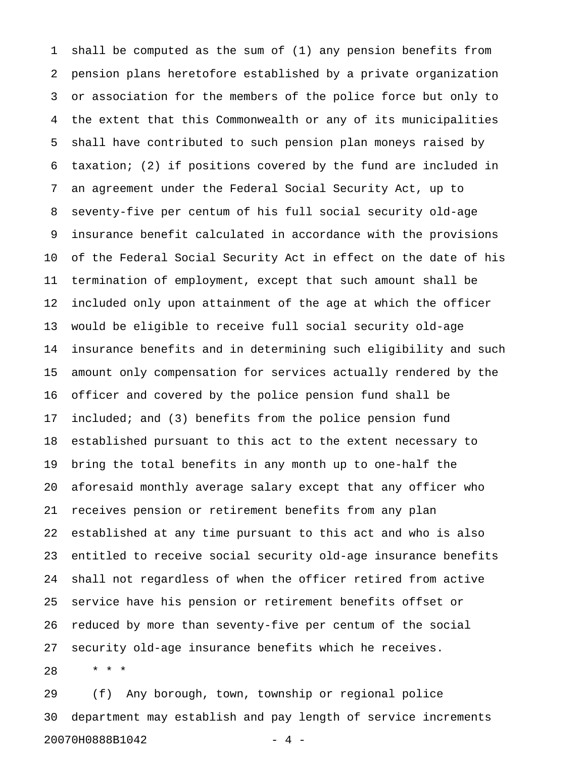1 shall be computed as the sum of (1) any pension benefits from 2 pension plans heretofore established by a private organization 3 or association for the members of the police force but only to 4 the extent that this Commonwealth or any of its municipalities 5 shall have contributed to such pension plan moneys raised by 6 taxation; (2) if positions covered by the fund are included in 7 an agreement under the Federal Social Security Act, up to 8 seventy-five per centum of his full social security old-age 9 insurance benefit calculated in accordance with the provisions 10 of the Federal Social Security Act in effect on the date of his 11 termination of employment, except that such amount shall be 12 included only upon attainment of the age at which the officer 13 would be eligible to receive full social security old-age 14 insurance benefits and in determining such eligibility and such 15 amount only compensation for services actually rendered by the 16 officer and covered by the police pension fund shall be 17 included; and (3) benefits from the police pension fund 18 established pursuant to this act to the extent necessary to 19 bring the total benefits in any month up to one-half the 20 aforesaid monthly average salary except that any officer who 21 receives pension or retirement benefits from any plan 22 established at any time pursuant to this act and who is also 23 entitled to receive social security old-age insurance benefits 24 shall not regardless of when the officer retired from active 25 service have his pension or retirement benefits offset or 26 reduced by more than seventy-five per centum of the social 27 security old-age insurance benefits which he receives. 28 \* \* \*

29 (f) Any borough, town, township or regional police 30 department may establish and pay length of service increments 20070H0888B1042 - 4 -